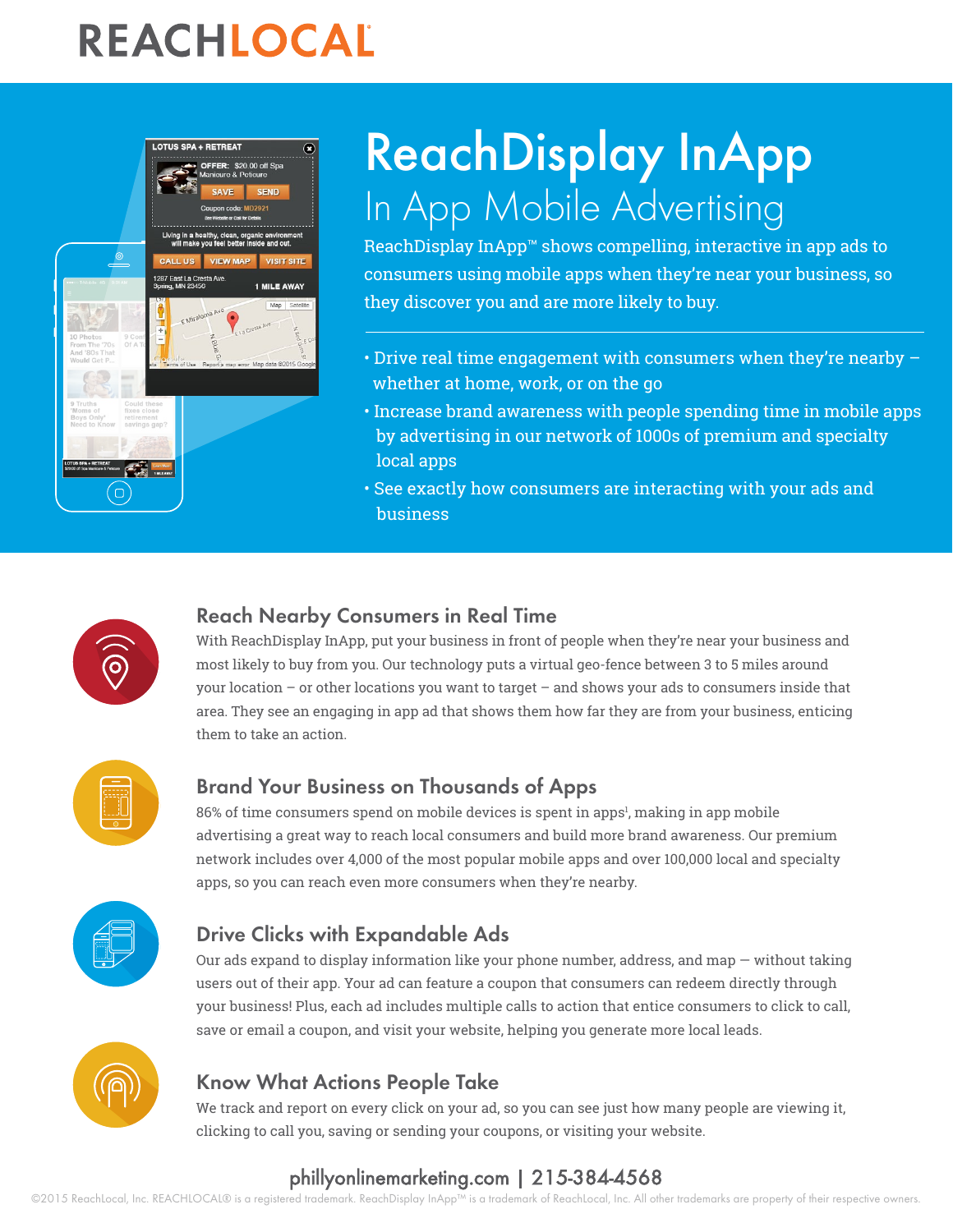# REACHLOCAL



# ReachDisplay InApp In App Mobile Advertising

ReachDisplay InApp™ shows compelling, interactive in app ads to consumers using mobile apps when they're near your business, so they discover you and are more likely to buy.

- Drive real time engagement with consumers when they're nearby whether at home, work, or on the go
- Increase brand awareness with people spending time in mobile apps by advertising in our network of 1000s of premium and specialty local apps
- See exactly how consumers are interacting with your ads and business



### Reach Nearby Consumers in Real Time

With ReachDisplay InApp, put your business in front of people when they're near your business and most likely to buy from you. Our technology puts a virtual geo-fence between 3 to 5 miles around your location – or other locations you want to target – and shows your ads to consumers inside that area. They see an engaging in app ad that shows them how far they are from your business, enticing them to take an action.



## Brand Your Business on Thousands of Apps

86% of time consumers spend on mobile devices is spent in apps<sup>1</sup>, making in app mobile advertising a great way to reach local consumers and build more brand awareness. Our premium network includes over 4,000 of the most popular mobile apps and over 100,000 local and specialty apps, so you can reach even more consumers when they're nearby.



## Drive Clicks with Expandable Ads

Our ads expand to display information like your phone number, address, and map — without taking users out of their app. Your ad can feature a coupon that consumers can redeem directly through your business! Plus, each ad includes multiple calls to action that entice consumers to click to call, save or email a coupon, and visit your website, helping you generate more local leads.



## Know What Actions People Take

We track and report on every click on your ad, so you can see just how many people are viewing it, clicking to call you, saving or sending your coupons, or visiting your website.

# [phillyonlinemarketing.com](http://www.phillyonlinemarketing.com/) | 215-384-4568